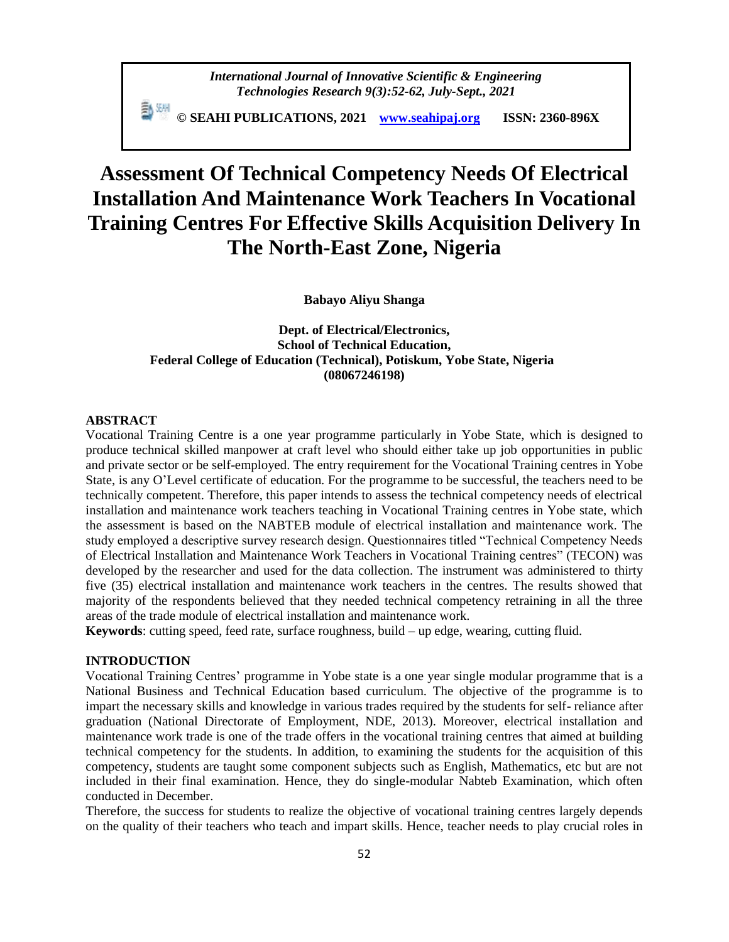*International Journal of Innovative Scientific & Engineering Technologies Research 9(3):52-62, July-Sept., 2021*

 **© SEAHI PUBLICATIONS, 2021 [www.seahipaj.org](http://www.seahipaj.org/) ISSN: 2360-896X**

# **Assessment Of Technical Competency Needs Of Electrical Installation And Maintenance Work Teachers In Vocational Training Centres For Effective Skills Acquisition Delivery In The North-East Zone, Nigeria**

**Babayo Aliyu Shanga**

**Dept. of Electrical/Electronics, School of Technical Education, Federal College of Education (Technical), Potiskum, Yobe State, Nigeria (08067246198)**

### **ABSTRACT**

Vocational Training Centre is a one year programme particularly in Yobe State, which is designed to produce technical skilled manpower at craft level who should either take up job opportunities in public and private sector or be self-employed. The entry requirement for the Vocational Training centres in Yobe State, is any O'Level certificate of education. For the programme to be successful, the teachers need to be technically competent. Therefore, this paper intends to assess the technical competency needs of electrical installation and maintenance work teachers teaching in Vocational Training centres in Yobe state, which the assessment is based on the NABTEB module of electrical installation and maintenance work. The study employed a descriptive survey research design. Questionnaires titled "Technical Competency Needs of Electrical Installation and Maintenance Work Teachers in Vocational Training centres" (TECON) was developed by the researcher and used for the data collection. The instrument was administered to thirty five (35) electrical installation and maintenance work teachers in the centres. The results showed that majority of the respondents believed that they needed technical competency retraining in all the three areas of the trade module of electrical installation and maintenance work.

**Keywords**: cutting speed, feed rate, surface roughness, build – up edge, wearing, cutting fluid.

## **INTRODUCTION**

Vocational Training Centres' programme in Yobe state is a one year single modular programme that is a National Business and Technical Education based curriculum. The objective of the programme is to impart the necessary skills and knowledge in various trades required by the students for self- reliance after graduation (National Directorate of Employment, NDE, 2013). Moreover, electrical installation and maintenance work trade is one of the trade offers in the vocational training centres that aimed at building technical competency for the students. In addition, to examining the students for the acquisition of this competency, students are taught some component subjects such as English, Mathematics, etc but are not included in their final examination. Hence, they do single-modular Nabteb Examination, which often conducted in December.

Therefore, the success for students to realize the objective of vocational training centres largely depends on the quality of their teachers who teach and impart skills. Hence, teacher needs to play crucial roles in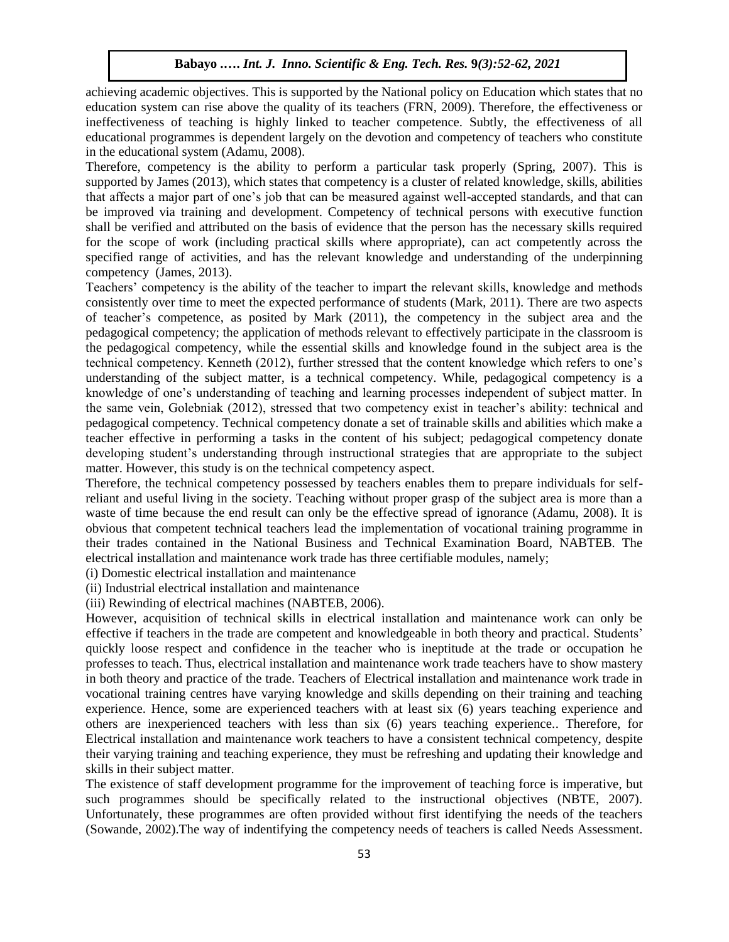achieving academic objectives. This is supported by the National policy on Education which states that no education system can rise above the quality of its teachers (FRN, 2009). Therefore, the effectiveness or ineffectiveness of teaching is highly linked to teacher competence. Subtly, the effectiveness of all educational programmes is dependent largely on the devotion and competency of teachers who constitute in the educational system (Adamu, 2008).

Therefore, competency is the ability to perform a particular task properly (Spring, 2007). This is supported by James (2013), which states that competency is a cluster of related knowledge, skills, abilities that affects a major part of one's job that can be measured against well-accepted standards, and that can be improved via training and development. Competency of technical persons with executive function shall be verified and attributed on the basis of evidence that the person has the necessary skills required for the scope of work (including practical skills where appropriate), can act competently across the specified range of activities, and has the relevant knowledge and understanding of the underpinning competency (James, 2013).

Teachers' competency is the ability of the teacher to impart the relevant skills, knowledge and methods consistently over time to meet the expected performance of students (Mark, 2011). There are two aspects of teacher's competence, as posited by Mark (2011), the competency in the subject area and the pedagogical competency; the application of methods relevant to effectively participate in the classroom is the pedagogical competency, while the essential skills and knowledge found in the subject area is the technical competency. Kenneth (2012), further stressed that the content knowledge which refers to one's understanding of the subject matter, is a technical competency. While, pedagogical competency is a knowledge of one's understanding of teaching and learning processes independent of subject matter. In the same vein, Golebniak (2012), stressed that two competency exist in teacher's ability: technical and pedagogical competency. Technical competency donate a set of trainable skills and abilities which make a teacher effective in performing a tasks in the content of his subject; pedagogical competency donate developing student's understanding through instructional strategies that are appropriate to the subject matter. However, this study is on the technical competency aspect.

Therefore, the technical competency possessed by teachers enables them to prepare individuals for selfreliant and useful living in the society. Teaching without proper grasp of the subject area is more than a waste of time because the end result can only be the effective spread of ignorance (Adamu, 2008). It is obvious that competent technical teachers lead the implementation of vocational training programme in their trades contained in the National Business and Technical Examination Board, NABTEB. The electrical installation and maintenance work trade has three certifiable modules, namely;

(i) Domestic electrical installation and maintenance

(ii) Industrial electrical installation and maintenance

(iii) Rewinding of electrical machines (NABTEB, 2006).

However, acquisition of technical skills in electrical installation and maintenance work can only be effective if teachers in the trade are competent and knowledgeable in both theory and practical. Students' quickly loose respect and confidence in the teacher who is ineptitude at the trade or occupation he professes to teach. Thus, electrical installation and maintenance work trade teachers have to show mastery in both theory and practice of the trade. Teachers of Electrical installation and maintenance work trade in vocational training centres have varying knowledge and skills depending on their training and teaching experience. Hence, some are experienced teachers with at least six (6) years teaching experience and others are inexperienced teachers with less than six (6) years teaching experience.. Therefore, for Electrical installation and maintenance work teachers to have a consistent technical competency, despite their varying training and teaching experience, they must be refreshing and updating their knowledge and skills in their subject matter.

The existence of staff development programme for the improvement of teaching force is imperative, but such programmes should be specifically related to the instructional objectives (NBTE, 2007). Unfortunately, these programmes are often provided without first identifying the needs of the teachers (Sowande, 2002).The way of indentifying the competency needs of teachers is called Needs Assessment.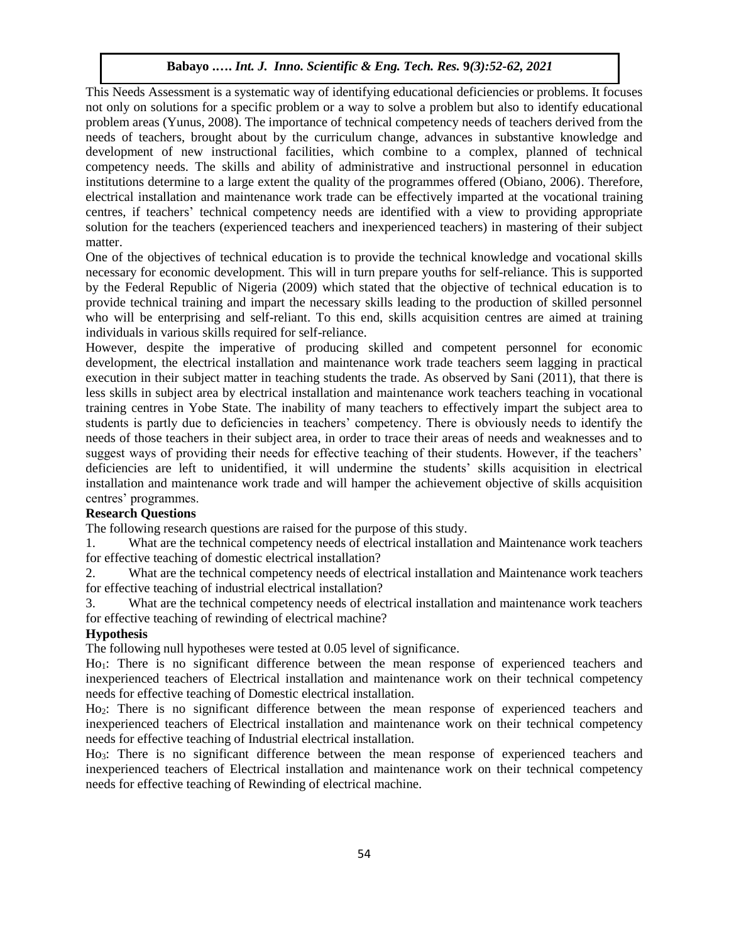This Needs Assessment is a systematic way of identifying educational deficiencies or problems. It focuses not only on solutions for a specific problem or a way to solve a problem but also to identify educational problem areas (Yunus, 2008). The importance of technical competency needs of teachers derived from the needs of teachers, brought about by the curriculum change, advances in substantive knowledge and development of new instructional facilities, which combine to a complex, planned of technical competency needs. The skills and ability of administrative and instructional personnel in education institutions determine to a large extent the quality of the programmes offered (Obiano, 2006). Therefore, electrical installation and maintenance work trade can be effectively imparted at the vocational training centres, if teachers' technical competency needs are identified with a view to providing appropriate solution for the teachers (experienced teachers and inexperienced teachers) in mastering of their subject matter.

One of the objectives of technical education is to provide the technical knowledge and vocational skills necessary for economic development. This will in turn prepare youths for self-reliance. This is supported by the Federal Republic of Nigeria (2009) which stated that the objective of technical education is to provide technical training and impart the necessary skills leading to the production of skilled personnel who will be enterprising and self-reliant. To this end, skills acquisition centres are aimed at training individuals in various skills required for self-reliance.

However, despite the imperative of producing skilled and competent personnel for economic development, the electrical installation and maintenance work trade teachers seem lagging in practical execution in their subject matter in teaching students the trade. As observed by Sani (2011), that there is less skills in subject area by electrical installation and maintenance work teachers teaching in vocational training centres in Yobe State. The inability of many teachers to effectively impart the subject area to students is partly due to deficiencies in teachers' competency. There is obviously needs to identify the needs of those teachers in their subject area, in order to trace their areas of needs and weaknesses and to suggest ways of providing their needs for effective teaching of their students. However, if the teachers' deficiencies are left to unidentified, it will undermine the students' skills acquisition in electrical installation and maintenance work trade and will hamper the achievement objective of skills acquisition centres' programmes.

# **Research Questions**

The following research questions are raised for the purpose of this study.

1. What are the technical competency needs of electrical installation and Maintenance work teachers for effective teaching of domestic electrical installation?

2. What are the technical competency needs of electrical installation and Maintenance work teachers for effective teaching of industrial electrical installation?

3. What are the technical competency needs of electrical installation and maintenance work teachers for effective teaching of rewinding of electrical machine?

## **Hypothesis**

The following null hypotheses were tested at 0.05 level of significance.

Ho<sub>1</sub>: There is no significant difference between the mean response of experienced teachers and inexperienced teachers of Electrical installation and maintenance work on their technical competency needs for effective teaching of Domestic electrical installation.

Ho2: There is no significant difference between the mean response of experienced teachers and inexperienced teachers of Electrical installation and maintenance work on their technical competency needs for effective teaching of Industrial electrical installation.

Ho3: There is no significant difference between the mean response of experienced teachers and inexperienced teachers of Electrical installation and maintenance work on their technical competency needs for effective teaching of Rewinding of electrical machine.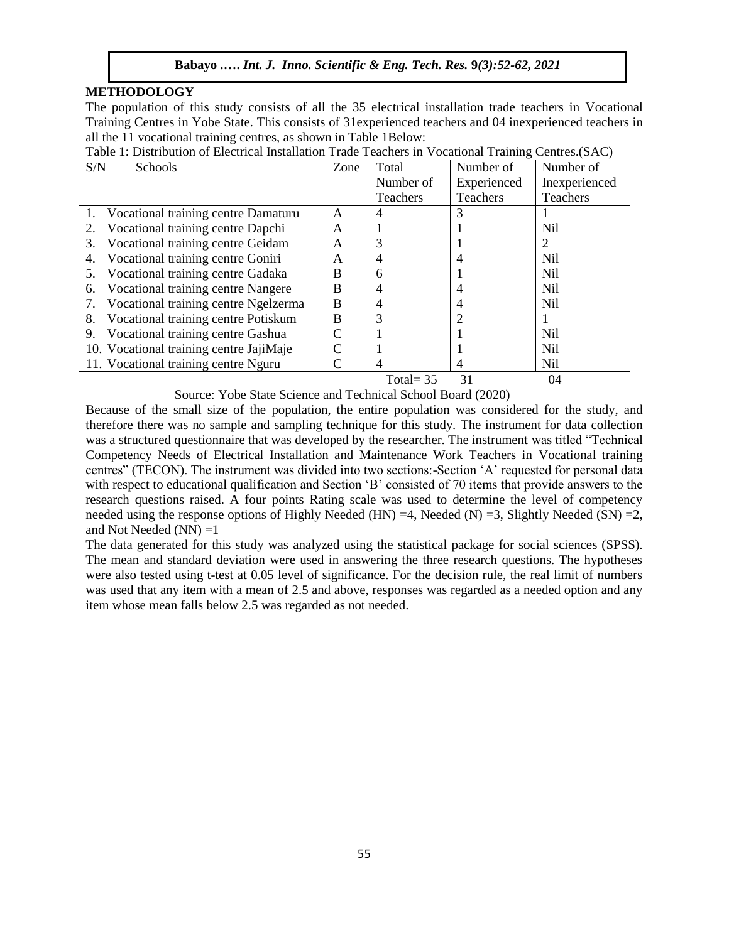## **METHODOLOGY**

The population of this study consists of all the 35 electrical installation trade teachers in Vocational Training Centres in Yobe State. This consists of 31experienced teachers and 04 inexperienced teachers in all the 11 vocational training centres, as shown in Table 1Below:

| S/N<br>Schools                             | Zone | Total           | Number of   | Number of       |
|--------------------------------------------|------|-----------------|-------------|-----------------|
|                                            |      | Number of       | Experienced | Inexperienced   |
|                                            |      | <b>Teachers</b> | Teachers    | Teachers        |
| 1. Vocational training centre Damaturu     | A    | 4               | 3           |                 |
| Vocational training centre Dapchi<br>2.    | A    |                 |             | Nil             |
| Vocational training centre Geidam<br>3.    | A    |                 |             |                 |
| Vocational training centre Goniri<br>4.    | A    |                 |             | Nil             |
| Vocational training centre Gadaka<br>5.    | B    | 6               |             | N <sub>il</sub> |
| Vocational training centre Nangere<br>6.   | B    |                 |             | Nil             |
| Vocational training centre Ngelzerma<br>7. | B    |                 |             | Nil             |
| Vocational training centre Potiskum<br>8.  | B    |                 |             |                 |
| Vocational training centre Gashua<br>9.    |      |                 |             | Nil             |
| 10. Vocational training centre JajiMaje    |      |                 |             | Nil             |
| 11. Vocational training centre Nguru       |      | 4               | 4           | Nil             |
|                                            |      | Total= $35$     | 31          | 04              |

Table 1: Distribution of Electrical Installation Trade Teachers in Vocational Training Centres.(SAC)

Source: Yobe State Science and Technical School Board (2020)

Because of the small size of the population, the entire population was considered for the study, and therefore there was no sample and sampling technique for this study. The instrument for data collection was a structured questionnaire that was developed by the researcher. The instrument was titled "Technical Competency Needs of Electrical Installation and Maintenance Work Teachers in Vocational training centres" (TECON). The instrument was divided into two sections:-Section 'A' requested for personal data with respect to educational qualification and Section 'B' consisted of 70 items that provide answers to the research questions raised. A four points Rating scale was used to determine the level of competency needed using the response options of Highly Needed (HN) =4, Needed (N) =3, Slightly Needed (SN) =2, and Not Needed  $(NN) = 1$ 

The data generated for this study was analyzed using the statistical package for social sciences (SPSS). The mean and standard deviation were used in answering the three research questions. The hypotheses were also tested using t-test at 0.05 level of significance. For the decision rule, the real limit of numbers was used that any item with a mean of 2.5 and above, responses was regarded as a needed option and any item whose mean falls below 2.5 was regarded as not needed.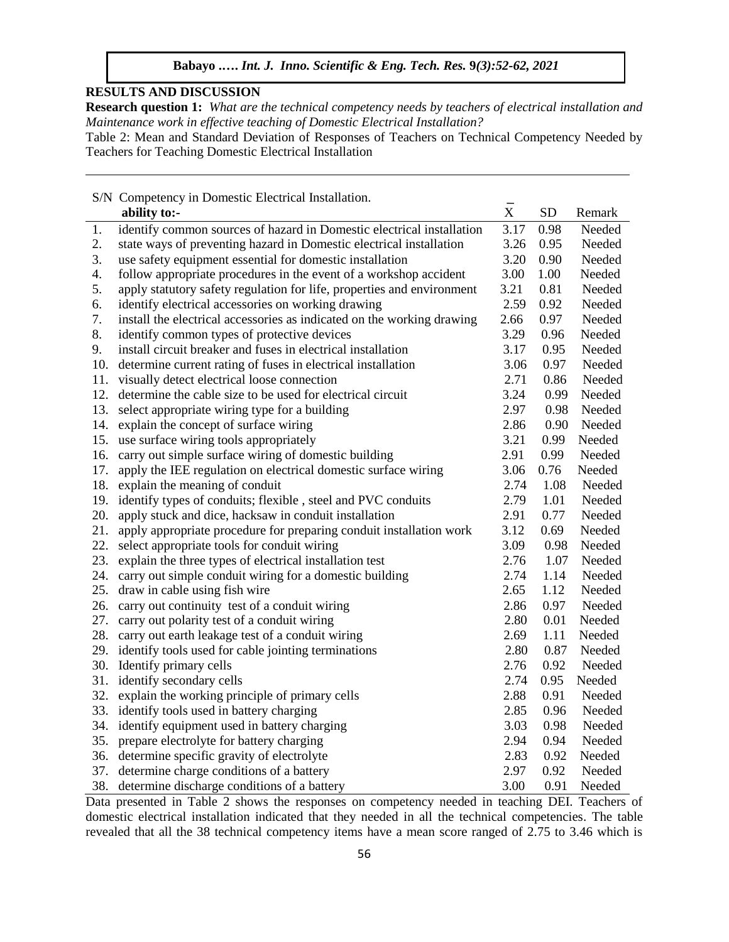# **RESULTS AND DISCUSSION**

**Research question 1:** *What are the technical competency needs by teachers of electrical installation and Maintenance work in effective teaching of Domestic Electrical Installation?*

Table 2: Mean and Standard Deviation of Responses of Teachers on Technical Competency Needed by Teachers for Teaching Domestic Electrical Installation

|     | S/N Competency in Domestic Electrical Installation.                    |                |           |        |
|-----|------------------------------------------------------------------------|----------------|-----------|--------|
|     | ability to:-                                                           | $\overline{X}$ | <b>SD</b> | Remark |
| 1.  | identify common sources of hazard in Domestic electrical installation  | 3.17           | 0.98      | Needed |
| 2.  | state ways of preventing hazard in Domestic electrical installation    | 3.26           | 0.95      | Needed |
| 3.  | use safety equipment essential for domestic installation               | 3.20           | 0.90      | Needed |
| 4.  | follow appropriate procedures in the event of a workshop accident      | 3.00           | 1.00      | Needed |
| 5.  | apply statutory safety regulation for life, properties and environment | 3.21           | 0.81      | Needed |
| 6.  | identify electrical accessories on working drawing                     | 2.59           | 0.92      | Needed |
| 7.  | install the electrical accessories as indicated on the working drawing | 2.66           | 0.97      | Needed |
| 8.  | identify common types of protective devices                            | 3.29           | 0.96      | Needed |
| 9.  | install circuit breaker and fuses in electrical installation           | 3.17           | 0.95      | Needed |
| 10. | determine current rating of fuses in electrical installation           | 3.06           | 0.97      | Needed |
| 11. | visually detect electrical loose connection                            | 2.71           | 0.86      | Needed |
| 12. | determine the cable size to be used for electrical circuit             | 3.24           | 0.99      | Needed |
| 13. | select appropriate wiring type for a building                          | 2.97           | 0.98      | Needed |
| 14. | explain the concept of surface wiring                                  | 2.86           | 0.90      | Needed |
| 15. | use surface wiring tools appropriately                                 | 3.21           | 0.99      | Needed |
| 16. | carry out simple surface wiring of domestic building                   | 2.91           | 0.99      | Needed |
| 17. | apply the IEE regulation on electrical domestic surface wiring         | 3.06           | 0.76      | Needed |
| 18. | explain the meaning of conduit                                         | 2.74           | 1.08      | Needed |
| 19. | identify types of conduits; flexible, steel and PVC conduits           | 2.79           | 1.01      | Needed |
| 20. | apply stuck and dice, hacksaw in conduit installation                  | 2.91           | 0.77      | Needed |
| 21. | apply appropriate procedure for preparing conduit installation work    | 3.12           | 0.69      | Needed |
| 22. | select appropriate tools for conduit wiring                            | 3.09           | 0.98      | Needed |
| 23. | explain the three types of electrical installation test                | 2.76           | 1.07      | Needed |
| 24. | carry out simple conduit wiring for a domestic building                | 2.74           | 1.14      | Needed |
| 25. | draw in cable using fish wire                                          | 2.65           | 1.12      | Needed |
|     | 26. carry out continuity test of a conduit wiring                      | 2.86           | 0.97      | Needed |
| 27. | carry out polarity test of a conduit wiring                            | 2.80           | 0.01      | Needed |
| 28. | carry out earth leakage test of a conduit wiring                       | 2.69           | 1.11      | Needed |
| 29. | identify tools used for cable jointing terminations                    | 2.80           | 0.87      | Needed |
| 30. | Identify primary cells                                                 | 2.76           | 0.92      | Needed |
| 31. | identify secondary cells                                               | 2.74           | 0.95      | Needed |
| 32. | explain the working principle of primary cells                         | 2.88           | 0.91      | Needed |
| 33. | identify tools used in battery charging                                | 2.85           | 0.96      | Needed |
| 34. | identify equipment used in battery charging                            | 3.03           | 0.98      | Needed |
| 35. | prepare electrolyte for battery charging                               | 2.94           | 0.94      | Needed |
| 36. | determine specific gravity of electrolyte                              | 2.83           | 0.92      | Needed |
| 37. | determine charge conditions of a battery                               | 2.97           | 0.92      | Needed |
| 38. | determine discharge conditions of a battery                            | 3.00           | 0.91      | Needed |

Data presented in Table 2 shows the responses on competency needed in teaching DEI. Teachers of domestic electrical installation indicated that they needed in all the technical competencies. The table revealed that all the 38 technical competency items have a mean score ranged of 2.75 to 3.46 which is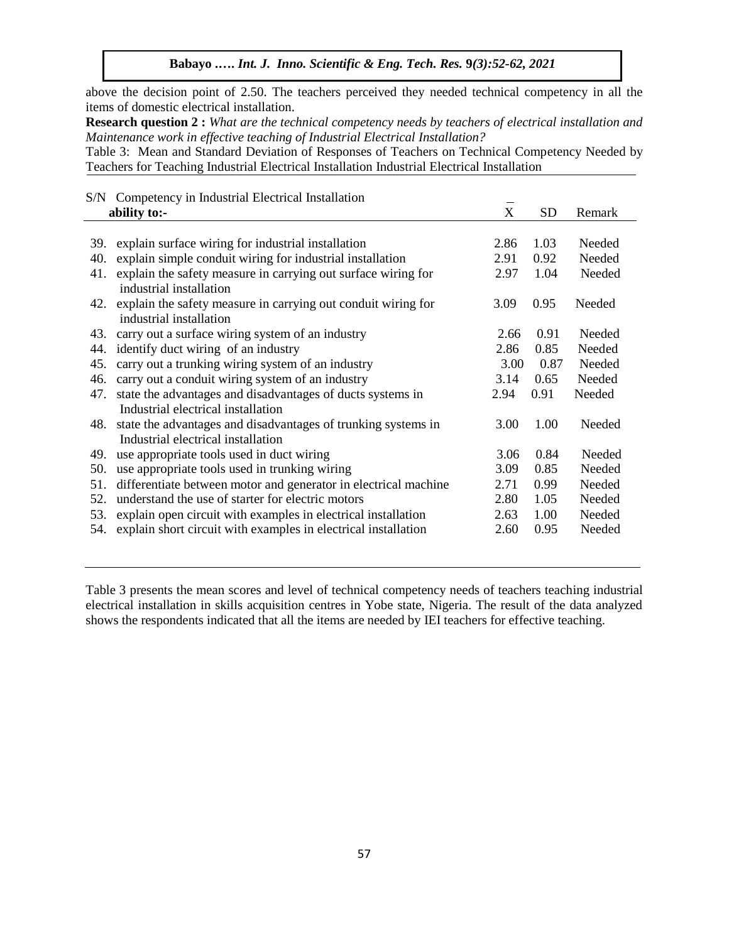**Babayo .….** *Int. J. Inno. Scientific & Eng. Tech. Res.* **9***(3):52-62, 2021*

above the decision point of 2.50. The teachers perceived they needed technical competency in all the items of domestic electrical installation.

**Research question 2 :** *What are the technical competency needs by teachers of electrical installation and Maintenance work in effective teaching of Industrial Electrical Installation?*

Table 3: Mean and Standard Deviation of Responses of Teachers on Technical Competency Needed by Teachers for Teaching Industrial Electrical Installation Industrial Electrical Installation

|     | S/N Competency in Industrial Electrical Installation            |      |           |        |
|-----|-----------------------------------------------------------------|------|-----------|--------|
|     | ability to:-                                                    | X    | <b>SD</b> | Remark |
|     |                                                                 |      |           |        |
| 39. | explain surface wiring for industrial installation              | 2.86 | 1.03      | Needed |
| 40. | explain simple conduit wiring for industrial installation       | 2.91 | 0.92      | Needed |
| 41. | explain the safety measure in carrying out surface wiring for   | 2.97 | 1.04      | Needed |
|     | industrial installation                                         |      |           |        |
| 42. | explain the safety measure in carrying out conduit wiring for   | 3.09 | 0.95      | Needed |
|     | industrial installation                                         |      |           |        |
| 43. | carry out a surface wiring system of an industry                | 2.66 | 0.91      | Needed |
| 44. | identify duct wiring of an industry                             | 2.86 | 0.85      | Needed |
| 45. | carry out a trunking wiring system of an industry               | 3.00 | 0.87      | Needed |
| 46. | carry out a conduit wiring system of an industry                | 3.14 | 0.65      | Needed |
| 47. | state the advantages and disadvantages of ducts systems in      | 2.94 | 0.91      | Needed |
|     | Industrial electrical installation                              |      |           |        |
| 48. | state the advantages and disadvantages of trunking systems in   | 3.00 | 1.00      | Needed |
|     | Industrial electrical installation                              |      |           |        |
| 49. | use appropriate tools used in duct wiring                       | 3.06 | 0.84      | Needed |
| 50. | use appropriate tools used in trunking wiring                   | 3.09 | 0.85      | Needed |
| 51. | differentiate between motor and generator in electrical machine | 2.71 | 0.99      | Needed |
| 52. | understand the use of starter for electric motors               | 2.80 | 1.05      | Needed |
| 53. | explain open circuit with examples in electrical installation   | 2.63 | 1.00      | Needed |
| 54. | explain short circuit with examples in electrical installation  | 2.60 | 0.95      | Needed |
|     |                                                                 |      |           |        |

Table 3 presents the mean scores and level of technical competency needs of teachers teaching industrial electrical installation in skills acquisition centres in Yobe state, Nigeria. The result of the data analyzed shows the respondents indicated that all the items are needed by IEI teachers for effective teaching.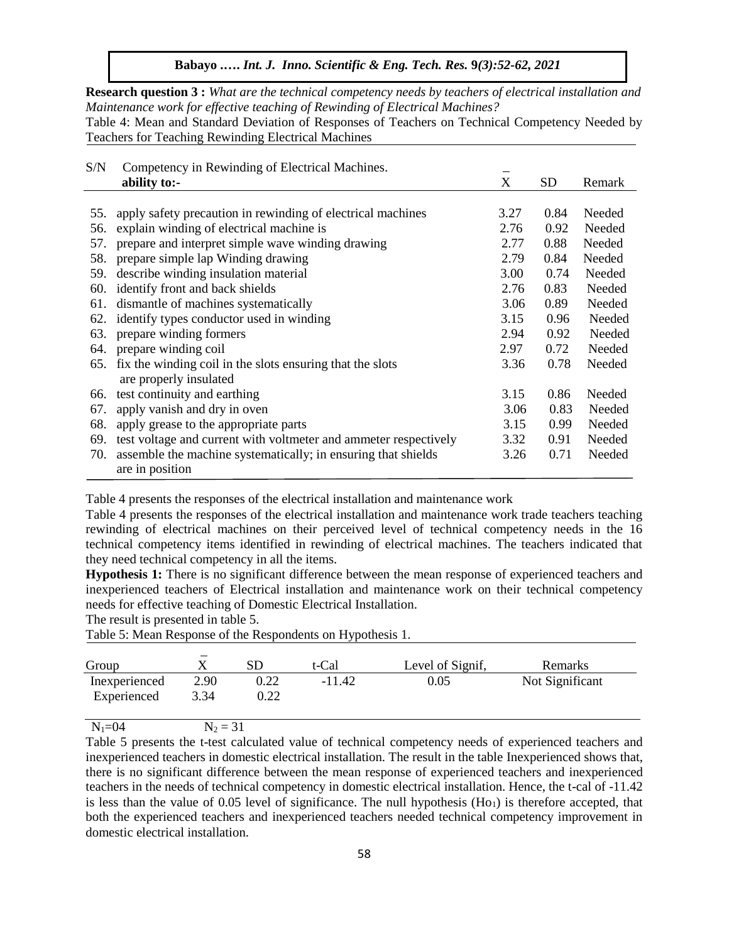**Research question 3 :** *What are the technical competency needs by teachers of electrical installation and Maintenance work for effective teaching of Rewinding of Electrical Machines?*

Table 4: Mean and Standard Deviation of Responses of Teachers on Technical Competency Needed by Teachers for Teaching Rewinding Electrical Machines

| S/N | Competency in Rewinding of Electrical Machines.                  |                       |           |        |
|-----|------------------------------------------------------------------|-----------------------|-----------|--------|
|     | ability to:-                                                     | $\overline{\text{X}}$ | <b>SD</b> | Remark |
|     |                                                                  |                       |           |        |
| 55. | apply safety precaution in rewinding of electrical machines      | 3.27                  | 0.84      | Needed |
| 56. | explain winding of electrical machine is                         | 2.76                  | 0.92      | Needed |
| 57. | prepare and interpret simple wave winding drawing                | 2.77                  | 0.88      | Needed |
| 58. | prepare simple lap Winding drawing                               | 2.79                  | 0.84      | Needed |
| 59. | describe winding insulation material                             | 3.00                  | 0.74      | Needed |
| 60. | identify front and back shields                                  | 2.76                  | 0.83      | Needed |
| 61. | dismantle of machines systematically                             | 3.06                  | 0.89      | Needed |
| 62. | identify types conductor used in winding                         | 3.15                  | 0.96      | Needed |
| 63. | prepare winding formers                                          | 2.94                  | 0.92      | Needed |
| 64. | prepare winding coil                                             | 2.97                  | 0.72      | Needed |
| 65. | fix the winding coil in the slots ensuring that the slots        | 3.36                  | 0.78      | Needed |
|     | are properly insulated                                           |                       |           |        |
| 66. | test continuity and earthing                                     | 3.15                  | 0.86      | Needed |
| 67. | apply vanish and dry in oven                                     | 3.06                  | 0.83      | Needed |
| 68. | apply grease to the appropriate parts                            | 3.15                  | 0.99      | Needed |
| 69. | test voltage and current with voltmeter and ammeter respectively | 3.32                  | 0.91      | Needed |
| 70. | assemble the machine systematically; in ensuring that shields    | 3.26                  | 0.71      | Needed |
|     | are in position                                                  |                       |           |        |

Table 4 presents the responses of the electrical installation and maintenance work

Table 4 presents the responses of the electrical installation and maintenance work trade teachers teaching rewinding of electrical machines on their perceived level of technical competency needs in the 16 technical competency items identified in rewinding of electrical machines. The teachers indicated that they need technical competency in all the items.

**Hypothesis 1:** There is no significant difference between the mean response of experienced teachers and inexperienced teachers of Electrical installation and maintenance work on their technical competency needs for effective teaching of Domestic Electrical Installation.

The result is presented in table 5.

Table 5: Mean Response of the Respondents on Hypothesis 1.

| Group         |      | SD   | t-Cal    | Level of Signif, | Remarks         |
|---------------|------|------|----------|------------------|-----------------|
| Inexperienced | 2.90 | 0.22 | $-11.42$ | 0.05             | Not Significant |
| Experienced   | 3.34 | 0.22 |          |                  |                 |
| $   -$        | $ -$ | - -  |          |                  |                 |

 $N_1=04$   $N_2 = 31$ 

Table 5 presents the t-test calculated value of technical competency needs of experienced teachers and inexperienced teachers in domestic electrical installation. The result in the table Inexperienced shows that, there is no significant difference between the mean response of experienced teachers and inexperienced teachers in the needs of technical competency in domestic electrical installation. Hence, the t-cal of -11.42 is less than the value of 0.05 level of significance. The null hypothesis  $(H<sub>01</sub>)$  is therefore accepted, that both the experienced teachers and inexperienced teachers needed technical competency improvement in domestic electrical installation.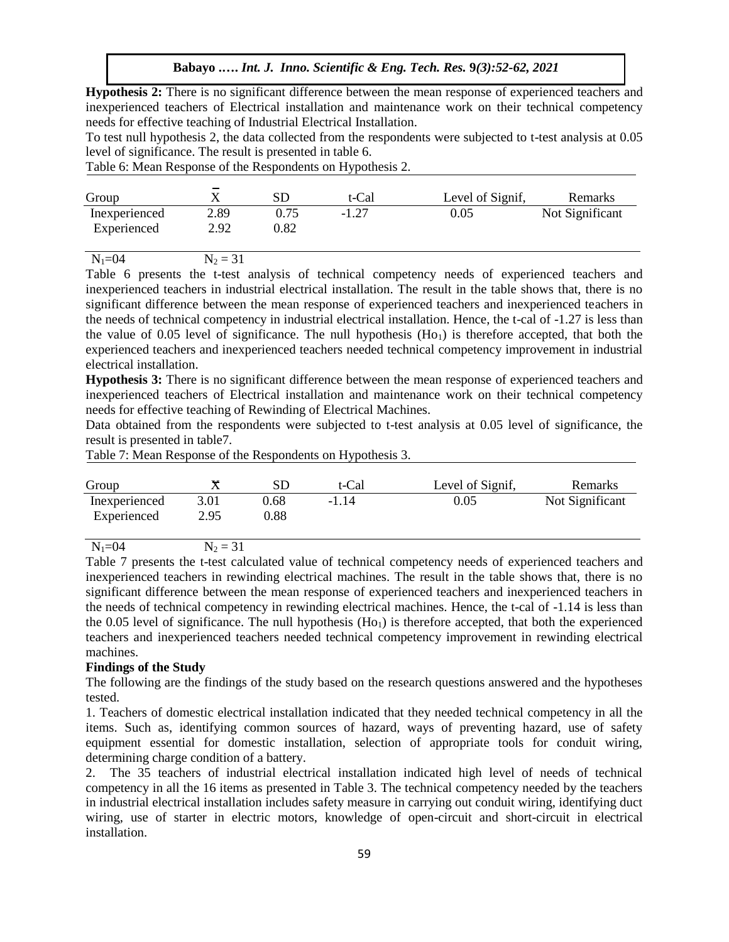**Hypothesis 2:** There is no significant difference between the mean response of experienced teachers and inexperienced teachers of Electrical installation and maintenance work on their technical competency needs for effective teaching of Industrial Electrical Installation.

To test null hypothesis 2, the data collected from the respondents were subjected to t-test analysis at 0.05 level of significance. The result is presented in table 6.

Table 6: Mean Response of the Respondents on Hypothesis 2.

| Group         |      | $_{\rm SL}$ | t-Cal   | Level of Signif, | Remarks         |
|---------------|------|-------------|---------|------------------|-----------------|
| Inexperienced | 2.89 | 0.75        | $-1.27$ | $0.05\,$         | Not Significant |
| Experienced   | 2.92 | $\rm 0.82$  |         |                  |                 |

 $N_1=04$   $N_2 = 31$ 

Table 6 presents the t-test analysis of technical competency needs of experienced teachers and inexperienced teachers in industrial electrical installation. The result in the table shows that, there is no significant difference between the mean response of experienced teachers and inexperienced teachers in the needs of technical competency in industrial electrical installation. Hence, the t-cal of -1.27 is less than the value of 0.05 level of significance. The null hypothesis  $(Ho<sub>1</sub>)$  is therefore accepted, that both the experienced teachers and inexperienced teachers needed technical competency improvement in industrial electrical installation.

**Hypothesis 3:** There is no significant difference between the mean response of experienced teachers and inexperienced teachers of Electrical installation and maintenance work on their technical competency needs for effective teaching of Rewinding of Electrical Machines.

Data obtained from the respondents were subjected to t-test analysis at 0.05 level of significance, the result is presented in table7.

Table 7: Mean Response of the Respondents on Hypothesis 3.

| Group         |            | SD         | t-Cal   | Level of Signif, | Remarks         |
|---------------|------------|------------|---------|------------------|-----------------|
| Inexperienced | 3.01       | 0.68       | $-1.14$ | 0.05             | Not Significant |
| Experienced   | 2.95       | $\rm 0.88$ |         |                  |                 |
| $N_1 = 04$    | $N_2 = 31$ |            |         |                  |                 |

Table 7 presents the t-test calculated value of technical competency needs of experienced teachers and inexperienced teachers in rewinding electrical machines. The result in the table shows that, there is no significant difference between the mean response of experienced teachers and inexperienced teachers in the needs of technical competency in rewinding electrical machines. Hence, the t-cal of -1.14 is less than the 0.05 level of significance. The null hypothesis  $(Ho<sub>1</sub>)$  is therefore accepted, that both the experienced teachers and inexperienced teachers needed technical competency improvement in rewinding electrical machines.

## **Findings of the Study**

The following are the findings of the study based on the research questions answered and the hypotheses tested.

1. Teachers of domestic electrical installation indicated that they needed technical competency in all the items. Such as, identifying common sources of hazard, ways of preventing hazard, use of safety equipment essential for domestic installation, selection of appropriate tools for conduit wiring, determining charge condition of a battery.

2. The 35 teachers of industrial electrical installation indicated high level of needs of technical competency in all the 16 items as presented in Table 3. The technical competency needed by the teachers in industrial electrical installation includes safety measure in carrying out conduit wiring, identifying duct wiring, use of starter in electric motors, knowledge of open-circuit and short-circuit in electrical installation.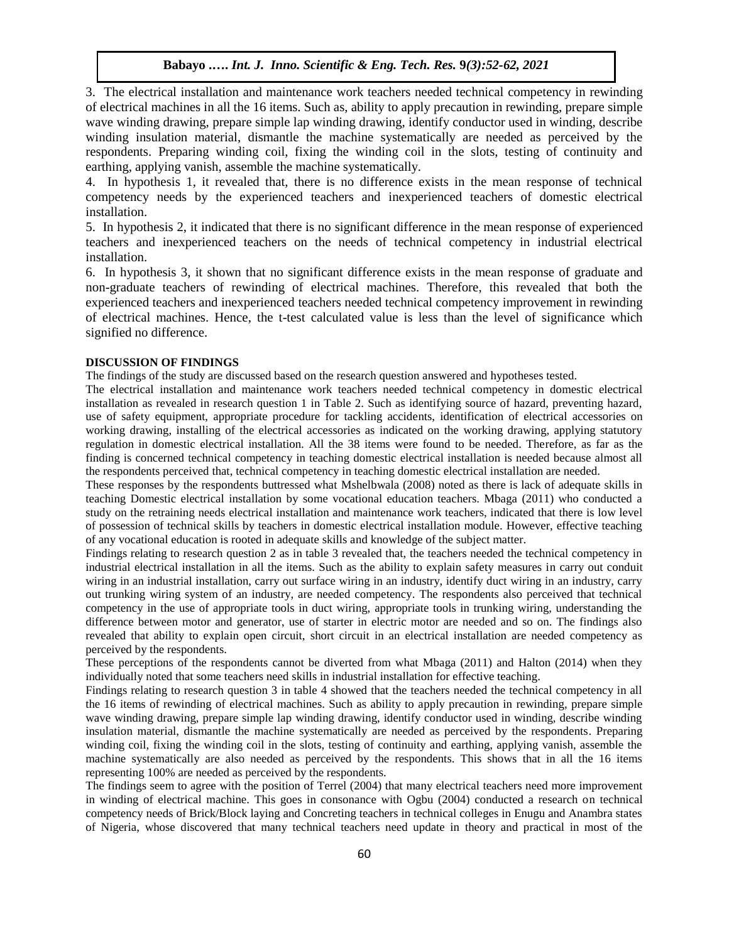3. The electrical installation and maintenance work teachers needed technical competency in rewinding of electrical machines in all the 16 items. Such as, ability to apply precaution in rewinding, prepare simple wave winding drawing, prepare simple lap winding drawing, identify conductor used in winding, describe winding insulation material, dismantle the machine systematically are needed as perceived by the respondents. Preparing winding coil, fixing the winding coil in the slots, testing of continuity and earthing, applying vanish, assemble the machine systematically.

4. In hypothesis 1, it revealed that, there is no difference exists in the mean response of technical competency needs by the experienced teachers and inexperienced teachers of domestic electrical installation.

5. In hypothesis 2, it indicated that there is no significant difference in the mean response of experienced teachers and inexperienced teachers on the needs of technical competency in industrial electrical installation.

6. In hypothesis 3, it shown that no significant difference exists in the mean response of graduate and non-graduate teachers of rewinding of electrical machines. Therefore, this revealed that both the experienced teachers and inexperienced teachers needed technical competency improvement in rewinding of electrical machines. Hence, the t-test calculated value is less than the level of significance which signified no difference.

### **DISCUSSION OF FINDINGS**

The findings of the study are discussed based on the research question answered and hypotheses tested.

The electrical installation and maintenance work teachers needed technical competency in domestic electrical installation as revealed in research question 1 in Table 2. Such as identifying source of hazard, preventing hazard, use of safety equipment, appropriate procedure for tackling accidents, identification of electrical accessories on working drawing, installing of the electrical accessories as indicated on the working drawing, applying statutory regulation in domestic electrical installation. All the 38 items were found to be needed. Therefore, as far as the finding is concerned technical competency in teaching domestic electrical installation is needed because almost all the respondents perceived that, technical competency in teaching domestic electrical installation are needed.

These responses by the respondents buttressed what Mshelbwala (2008) noted as there is lack of adequate skills in teaching Domestic electrical installation by some vocational education teachers. Mbaga (2011) who conducted a study on the retraining needs electrical installation and maintenance work teachers, indicated that there is low level of possession of technical skills by teachers in domestic electrical installation module. However, effective teaching of any vocational education is rooted in adequate skills and knowledge of the subject matter.

Findings relating to research question 2 as in table 3 revealed that, the teachers needed the technical competency in industrial electrical installation in all the items. Such as the ability to explain safety measures in carry out conduit wiring in an industrial installation, carry out surface wiring in an industry, identify duct wiring in an industry, carry out trunking wiring system of an industry, are needed competency. The respondents also perceived that technical competency in the use of appropriate tools in duct wiring, appropriate tools in trunking wiring, understanding the difference between motor and generator, use of starter in electric motor are needed and so on. The findings also revealed that ability to explain open circuit, short circuit in an electrical installation are needed competency as perceived by the respondents.

These perceptions of the respondents cannot be diverted from what Mbaga (2011) and Halton (2014) when they individually noted that some teachers need skills in industrial installation for effective teaching.

Findings relating to research question 3 in table 4 showed that the teachers needed the technical competency in all the 16 items of rewinding of electrical machines. Such as ability to apply precaution in rewinding, prepare simple wave winding drawing, prepare simple lap winding drawing, identify conductor used in winding, describe winding insulation material, dismantle the machine systematically are needed as perceived by the respondents. Preparing winding coil, fixing the winding coil in the slots, testing of continuity and earthing, applying vanish, assemble the machine systematically are also needed as perceived by the respondents. This shows that in all the 16 items representing 100% are needed as perceived by the respondents.

The findings seem to agree with the position of Terrel (2004) that many electrical teachers need more improvement in winding of electrical machine. This goes in consonance with Ogbu (2004) conducted a research on technical competency needs of Brick/Block laying and Concreting teachers in technical colleges in Enugu and Anambra states of Nigeria, whose discovered that many technical teachers need update in theory and practical in most of the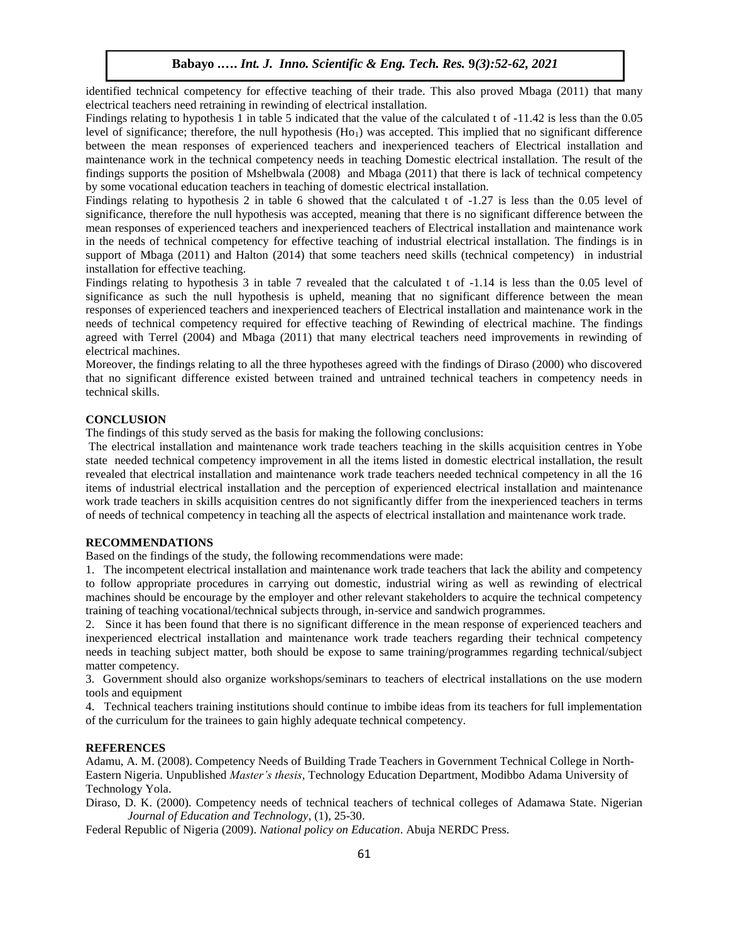identified technical competency for effective teaching of their trade. This also proved Mbaga (2011) that many electrical teachers need retraining in rewinding of electrical installation.

Findings relating to hypothesis 1 in table 5 indicated that the value of the calculated t of -11.42 is less than the 0.05 level of significance; therefore, the null hypothesis  $(H<sub>o1</sub>)$  was accepted. This implied that no significant difference between the mean responses of experienced teachers and inexperienced teachers of Electrical installation and maintenance work in the technical competency needs in teaching Domestic electrical installation. The result of the findings supports the position of Mshelbwala (2008) and Mbaga (2011) that there is lack of technical competency by some vocational education teachers in teaching of domestic electrical installation.

Findings relating to hypothesis 2 in table 6 showed that the calculated t of -1.27 is less than the 0.05 level of significance, therefore the null hypothesis was accepted, meaning that there is no significant difference between the mean responses of experienced teachers and inexperienced teachers of Electrical installation and maintenance work in the needs of technical competency for effective teaching of industrial electrical installation. The findings is in support of Mbaga (2011) and Halton (2014) that some teachers need skills (technical competency) in industrial installation for effective teaching.

Findings relating to hypothesis 3 in table 7 revealed that the calculated t of -1.14 is less than the 0.05 level of significance as such the null hypothesis is upheld, meaning that no significant difference between the mean responses of experienced teachers and inexperienced teachers of Electrical installation and maintenance work in the needs of technical competency required for effective teaching of Rewinding of electrical machine. The findings agreed with Terrel (2004) and Mbaga (2011) that many electrical teachers need improvements in rewinding of electrical machines.

Moreover, the findings relating to all the three hypotheses agreed with the findings of Diraso (2000) who discovered that no significant difference existed between trained and untrained technical teachers in competency needs in technical skills.

## **CONCLUSION**

The findings of this study served as the basis for making the following conclusions:

The electrical installation and maintenance work trade teachers teaching in the skills acquisition centres in Yobe state needed technical competency improvement in all the items listed in domestic electrical installation, the result revealed that electrical installation and maintenance work trade teachers needed technical competency in all the 16 items of industrial electrical installation and the perception of experienced electrical installation and maintenance work trade teachers in skills acquisition centres do not significantly differ from the inexperienced teachers in terms of needs of technical competency in teaching all the aspects of electrical installation and maintenance work trade.

#### **RECOMMENDATIONS**

Based on the findings of the study, the following recommendations were made:

1. The incompetent electrical installation and maintenance work trade teachers that lack the ability and competency to follow appropriate procedures in carrying out domestic, industrial wiring as well as rewinding of electrical machines should be encourage by the employer and other relevant stakeholders to acquire the technical competency training of teaching vocational/technical subjects through, in-service and sandwich programmes.

2. Since it has been found that there is no significant difference in the mean response of experienced teachers and inexperienced electrical installation and maintenance work trade teachers regarding their technical competency needs in teaching subject matter, both should be expose to same training/programmes regarding technical/subject matter competency.

3. Government should also organize workshops/seminars to teachers of electrical installations on the use modern tools and equipment

4. Technical teachers training institutions should continue to imbibe ideas from its teachers for full implementation of the curriculum for the trainees to gain highly adequate technical competency.

#### **REFERENCES**

Adamu, A. M. (2008). Competency Needs of Building Trade Teachers in Government Technical College in North-Eastern Nigeria. Unpublished *Master's thesis*, Technology Education Department, Modibbo Adama University of Technology Yola.

Diraso, D. K. (2000). Competency needs of technical teachers of technical colleges of Adamawa State. Nigerian *Journal of Education and Technology*, (1), 25-30.

Federal Republic of Nigeria (2009). *National policy on Education*. Abuja NERDC Press.